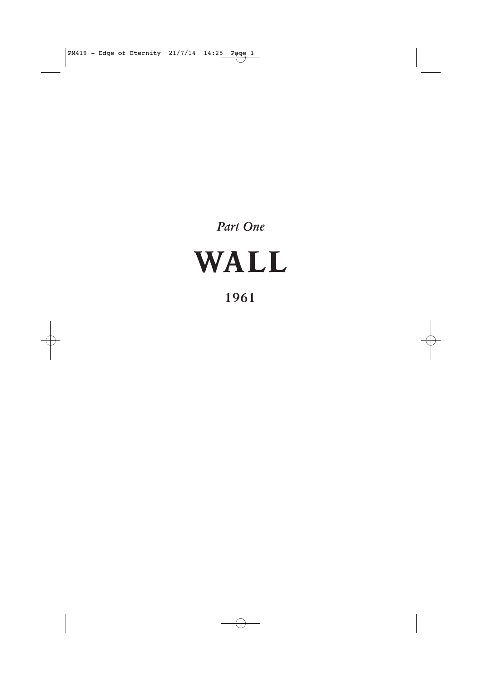

## **1961**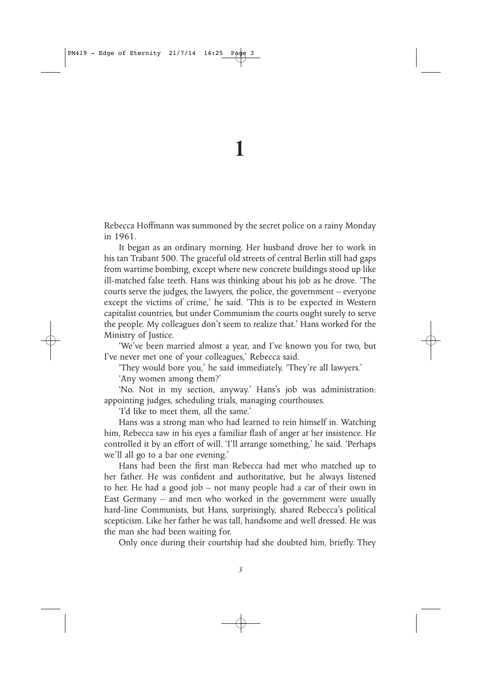Rebecca Hofmann was summoned by the secret police on a rainy Monday in 1961.

It began as an ordinary morning. Her husband drove her to work in his tan Trabant 500. The graceful old streets of central Berlin still had gaps from wartime bombing, except where new concrete buildings stood up like ill-matched false teeth. Hans was thinking about his job as he drove. 'The courts serve the judges, the lawyers, the police, the government – everyone except the victims of crime,' he said. 'This is to be expected in Western capitalist countries, but under Communism the courts ought surely to serve the people. My colleagues don't seem to realize that.' Hans worked for the Ministry of Justice.

'We've been married almost a year, and I've known you for two, but I've never met one of your colleagues,' Rebecca said.

'They would bore you,' he said immediately. 'They're all lawyers.'

'Any women among them?'

'No. Not in my section, anyway.' Hans's job was administration: appointing judges, scheduling trials, managing courthouses.

'I'd like to meet them, all the same.'

Hans was a strong man who had learned to rein himself in. Watching him, Rebecca saw in his eyes a familiar flash of anger at her insistence. He controlled it by an effort of will. 'I'll arrange something,' he said. 'Perhaps we'll all go to a bar one evening.'

Hans had been the first man Rebecca had met who matched up to her father. He was confident and authoritative, but he always listened to her. He had a good job – not many people had a car of their own in East Germany – and men who worked in the government were usually hard-line Communists, but Hans, surprisingly, shared Rebecca's political scepticism. Like her father he was tall, handsome and well dressed. He was the man she had been waiting for.

Only once during their courtship had she doubted him, briefly. They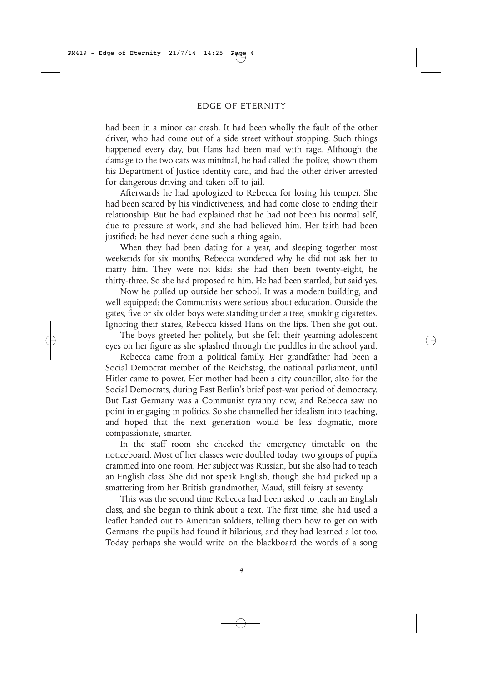had been in a minor car crash. It had been wholly the fault of the other driver, who had come out of a side street without stopping. Such things happened every day, but Hans had been mad with rage. Although the damage to the two cars was minimal, he had called the police, shown them his Department of Justice identity card, and had the other driver arrested for dangerous driving and taken off to jail.

Afterwards he had apologized to Rebecca for losing his temper. She had been scared by his vindictiveness, and had come close to ending their relationship. But he had explained that he had not been his normal self, due to pressure at work, and she had believed him. Her faith had been justified: he had never done such a thing again.

When they had been dating for a year, and sleeping together most weekends for six months, Rebecca wondered why he did not ask her to marry him. They were not kids: she had then been twenty-eight, he thirty-three. So she had proposed to him. He had been startled, but said yes.

Now he pulled up outside her school. It was a modern building, and well equipped: the Communists were serious about education. Outside the gates, five or six older boys were standing under a tree, smoking cigarettes. Ignoring their stares, Rebecca kissed Hans on the lips. Then she got out.

The boys greeted her politely, but she felt their yearning adolescent eyes on her figure as she splashed through the puddles in the school yard.

Rebecca came from a political family. Her grandfather had been a Social Democrat member of the Reichstag, the national parliament, until Hitler came to power. Her mother had been a city councillor, also for the Social Democrats, during East Berlin's brief post-war period of democracy. But East Germany was a Communist tyranny now, and Rebecca saw no point in engaging in politics. So she channelled her idealism into teaching, and hoped that the next generation would be less dogmatic, more compassionate, smarter.

In the staff room she checked the emergency timetable on the noticeboard. Most of her classes were doubled today, two groups of pupils crammed into one room. Her subject was Russian, but she also had to teach an English class. She did not speak English, though she had picked up a smattering from her British grandmother, Maud, still feisty at seventy.

This was the second time Rebecca had been asked to teach an English class, and she began to think about a text. The first time, she had used a leaflet handed out to American soldiers, telling them how to get on with Germans: the pupils had found it hilarious, and they had learned a lot too. Today perhaps she would write on the blackboard the words of a song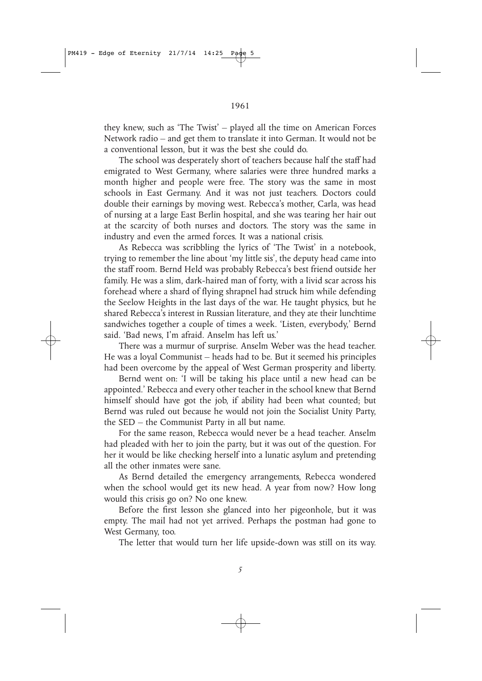they knew, such as 'The Twist' – played all the time on American Forces Network radio – and get them to translate it into German. It would not be a conventional lesson, but it was the best she could do.

The school was desperately short of teachers because half the staff had emigrated to West Germany, where salaries were three hundred marks a month higher and people were free. The story was the same in most schools in East Germany. And it was not just teachers. Doctors could double their earnings by moving west. Rebecca's mother, Carla, was head of nursing at a large East Berlin hospital, and she was tearing her hair out at the scarcity of both nurses and doctors. The story was the same in industry and even the armed forces. It was a national crisis.

As Rebecca was scribbling the lyrics of 'The Twist' in a notebook, trying to remember the line about 'my little sis', the deputy head came into the staff room. Bernd Held was probably Rebecca's best friend outside her family. He was a slim, dark-haired man of forty, with a livid scar across his forehead where a shard of flying shrapnel had struck him while defending the Seelow Heights in the last days of the war. He taught physics, but he shared Rebecca's interest in Russian literature, and they ate their lunchtime sandwiches together a couple of times a week. 'Listen, everybody,' Bernd said. 'Bad news, I'm afraid. Anselm has left us.'

There was a murmur of surprise. Anselm Weber was the head teacher. He was a loyal Communist – heads had to be. But it seemed his principles had been overcome by the appeal of West German prosperity and liberty.

Bernd went on: 'I will be taking his place until a new head can be appointed.' Rebecca and every other teacher in the school knew that Bernd himself should have got the job, if ability had been what counted; but Bernd was ruled out because he would not join the Socialist Unity Party, the SED – the Communist Party in all but name.

For the same reason, Rebecca would never be a head teacher. Anselm had pleaded with her to join the party, but it was out of the question. For her it would be like checking herself into a lunatic asylum and pretending all the other inmates were sane.

As Bernd detailed the emergency arrangements, Rebecca wondered when the school would get its new head. A year from now? How long would this crisis go on? No one knew.

Before the first lesson she glanced into her pigeonhole, but it was empty. The mail had not yet arrived. Perhaps the postman had gone to West Germany, too.

The letter that would turn her life upside-down was still on its way.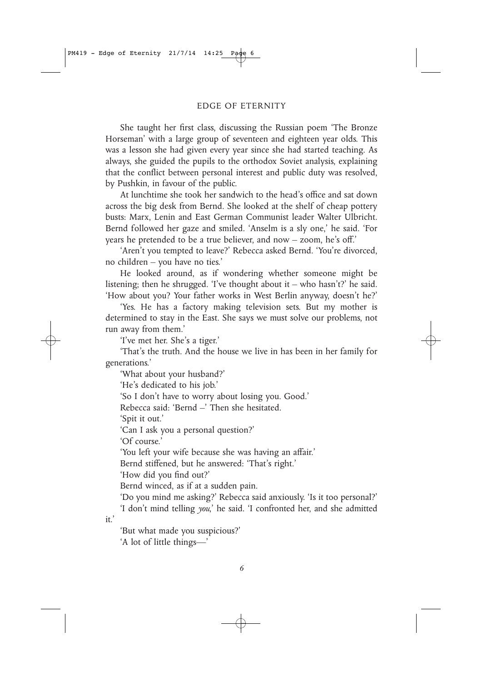She taught her first class, discussing the Russian poem 'The Bronze Horseman' with a large group of seventeen and eighteen year olds. This was a lesson she had given every year since she had started teaching. As always, she guided the pupils to the orthodox Soviet analysis, explaining that the conflict between personal interest and public duty was resolved, by Pushkin, in favour of the public.

At lunchtime she took her sandwich to the head's office and sat down across the big desk from Bernd. She looked at the shelf of cheap pottery busts: Marx, Lenin and East German Communist leader Walter Ulbricht. Bernd followed her gaze and smiled. 'Anselm is a sly one,' he said. 'For years he pretended to be a true believer, and now – zoom, he's of.'

'Aren't you tempted to leave?' Rebecca asked Bernd. 'You're divorced, no children – you have no ties.'

He looked around, as if wondering whether someone might be listening; then he shrugged. 'I've thought about it – who hasn't?' he said. 'How about you? Your father works in West Berlin anyway, doesn't he?'

'Yes. He has a factory making television sets. But my mother is determined to stay in the East. She says we must solve our problems, not run away from them.'

'I've met her. She's a tiger.'

'That's the truth. And the house we live in has been in her family for generations.'

'What about your husband?'

'He's dedicated to his job.'

'So I don't have to worry about losing you. Good.'

Rebecca said: 'Bernd –' Then she hesitated.

'Spit it out.'

'Can I ask you a personal question?'

'Of course.'

'You left your wife because she was having an afair.'

Bernd stifened, but he answered: 'That's right.'

'How did you find out?'

Bernd winced, as if at a sudden pain.

'Do you mind me asking?' Rebecca said anxiously. 'Is it too personal?' 'I don't mind telling *you*,' he said. 'I confronted her, and she admitted

it.'

'But what made you suspicious?' 'A lot of little things—'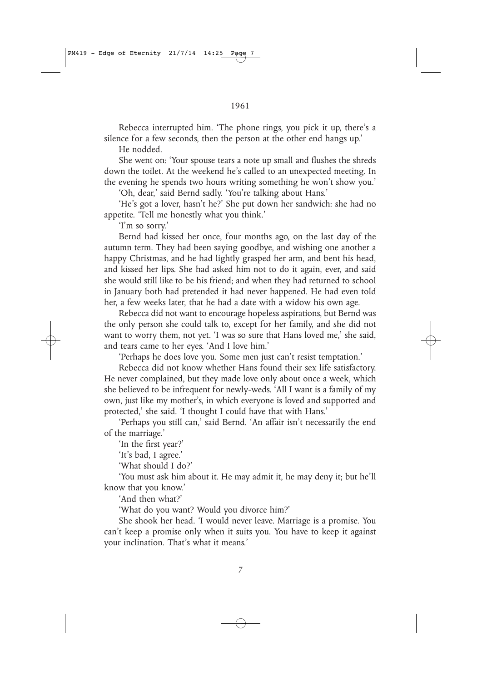Rebecca interrupted him. 'The phone rings, you pick it up, there's a silence for a few seconds, then the person at the other end hangs up.'

He nodded.

She went on: 'Your spouse tears a note up small and flushes the shreds down the toilet. At the weekend he's called to an unexpected meeting. In the evening he spends two hours writing something he won't show you.'

'Oh, dear,' said Bernd sadly. 'You're talking about Hans.'

'He's got a lover, hasn't he?' She put down her sandwich: she had no appetite. 'Tell me honestly what you think.'

'I'm so sorry.'

Bernd had kissed her once, four months ago, on the last day of the autumn term. They had been saying goodbye, and wishing one another a happy Christmas, and he had lightly grasped her arm, and bent his head, and kissed her lips. She had asked him not to do it again, ever, and said she would still like to be his friend; and when they had returned to school in January both had pretended it had never happened. He had even told her, a few weeks later, that he had a date with a widow his own age.

Rebecca did not want to encourage hopeless aspirations, but Bernd was the only person she could talk to, except for her family, and she did not want to worry them, not yet. 'I was so sure that Hans loved me,' she said, and tears came to her eyes. 'And I love him.'

'Perhaps he does love you. Some men just can't resist temptation.'

Rebecca did not know whether Hans found their sex life satisfactory. He never complained, but they made love only about once a week, which she believed to be infrequent for newly-weds. 'All I want is a family of my own, just like my mother's, in which everyone is loved and supported and protected,' she said. 'I thought I could have that with Hans.'

'Perhaps you still can,' said Bernd. 'An affair isn't necessarily the end of the marriage.'

'In the first year?'

'It's bad, I agree.'

'What should I do?'

'You must ask him about it. He may admit it, he may deny it; but he'll know that you know.'

'And then what?'

'What do you want? Would you divorce him?'

She shook her head. 'I would never leave. Marriage is a promise. You can't keep a promise only when it suits you. You have to keep it against your inclination. That's what it means.'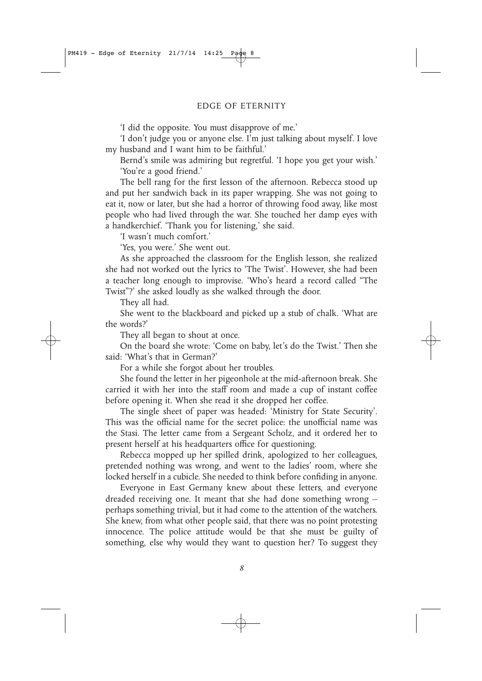'I did the opposite. You must disapprove of me.'

'I don't judge you or anyone else. I'm just talking about myself. I love my husband and I want him to be faithful.'

Bernd's smile was admiring but regretful. 'I hope you get your wish.' 'You're a good friend.'

The bell rang for the first lesson of the afternoon. Rebecca stood up and put her sandwich back in its paper wrapping. She was not going to eat it, now or later, but she had a horror of throwing food away, like most people who had lived through the war. She touched her damp eyes with a handkerchief. 'Thank you for listening,' she said.

'I wasn't much comfort.'

'Yes, you were.' She went out.

As she approached the classroom for the English lesson, she realized she had not worked out the lyrics to 'The Twist'. However, she had been a teacher long enough to improvise. 'Who's heard a record called "The Twist"?' she asked loudly as she walked through the door.

They all had.

She went to the blackboard and picked up a stub of chalk. 'What are the words?'

They all began to shout at once.

On the board she wrote: 'Come on baby, let's do the Twist.' Then she said: 'What's that in German?'

For a while she forgot about her troubles.

She found the letter in her pigeonhole at the mid-afternoon break. She carried it with her into the staff room and made a cup of instant coffee before opening it. When she read it she dropped her coffee.

The single sheet of paper was headed: 'Ministry for State Security'. This was the official name for the secret police: the unofficial name was the Stasi. The letter came from a Sergeant Scholz, and it ordered her to present herself at his headquarters office for questioning.

Rebecca mopped up her spilled drink, apologized to her colleagues, pretended nothing was wrong, and went to the ladies' room, where she locked herself in a cubicle. She needed to think before confiding in anyone.

Everyone in East Germany knew about these letters, and everyone dreaded receiving one. It meant that she had done something wrong – perhaps something trivial, but it had come to the attention of the watchers. She knew, from what other people said, that there was no point protesting innocence. The police attitude would be that she must be guilty of something, else why would they want to question her? To suggest they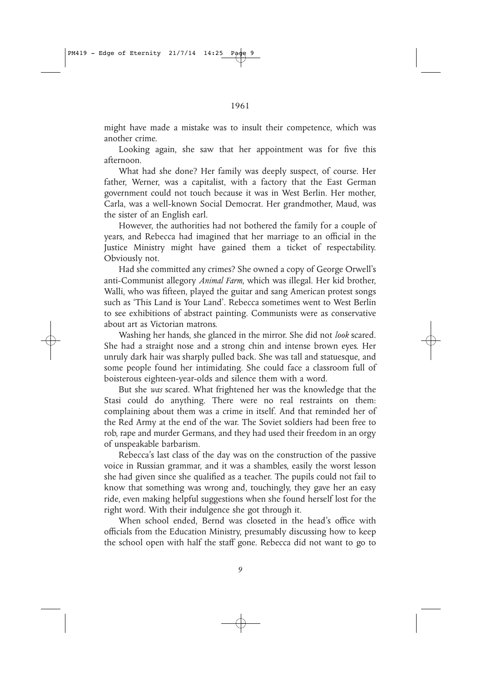might have made a mistake was to insult their competence, which was another crime.

Looking again, she saw that her appointment was for five this afternoon.

What had she done? Her family was deeply suspect, of course. Her father, Werner, was a capitalist, with a factory that the East German government could not touch because it was in West Berlin. Her mother, Carla, was a well-known Social Democrat. Her grandmother, Maud, was the sister of an English earl.

However, the authorities had not bothered the family for a couple of years, and Rebecca had imagined that her marriage to an official in the Justice Ministry might have gained them a ticket of respectability. Obviously not.

Had she committed any crimes? She owned a copy of George Orwell's anti-Communist allegory *Animal Farm*, which was illegal. Her kid brother, Walli, who was fifteen, played the guitar and sang American protest songs such as 'This Land is Your Land'. Rebecca sometimes went to West Berlin to see exhibitions of abstract painting. Communists were as conservative about art as Victorian matrons.

Washing her hands, she glanced in the mirror. She did not *look* scared. She had a straight nose and a strong chin and intense brown eyes. Her unruly dark hair was sharply pulled back. She was tall and statuesque, and some people found her intimidating. She could face a classroom full of boisterous eighteen-year-olds and silence them with a word.

But she *was* scared. What frightened her was the knowledge that the Stasi could do anything. There were no real restraints on them: complaining about them was a crime in itself. And that reminded her of the Red Army at the end of the war. The Soviet soldiers had been free to rob, rape and murder Germans, and they had used their freedom in an orgy of unspeakable barbarism.

Rebecca's last class of the day was on the construction of the passive voice in Russian grammar, and it was a shambles, easily the worst lesson she had given since she qualified as a teacher. The pupils could not fail to know that something was wrong and, touchingly, they gave her an easy ride, even making helpful suggestions when she found herself lost for the right word. With their indulgence she got through it.

When school ended, Bernd was closeted in the head's office with officials from the Education Ministry, presumably discussing how to keep the school open with half the staff gone. Rebecca did not want to go to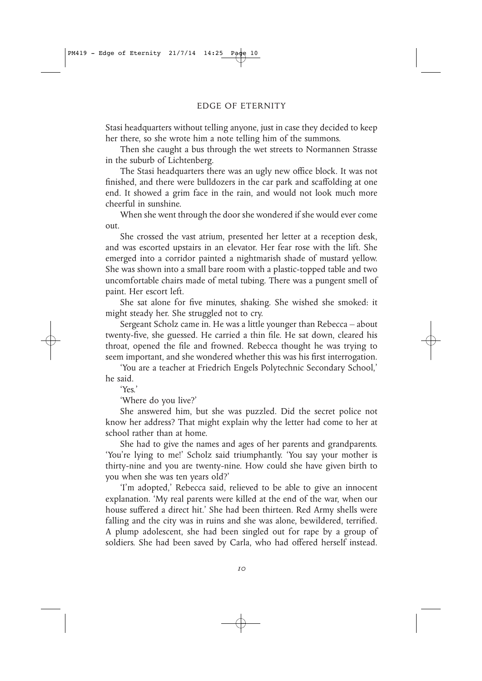Stasi headquarters without telling anyone, just in case they decided to keep her there, so she wrote him a note telling him of the summons.

Then she caught a bus through the wet streets to Normannen Strasse in the suburb of Lichtenberg.

The Stasi headquarters there was an ugly new office block. It was not finished, and there were bulldozers in the car park and scafolding at one end. It showed a grim face in the rain, and would not look much more cheerful in sunshine.

When she went through the door she wondered if she would ever come out.

She crossed the vast atrium, presented her letter at a reception desk, and was escorted upstairs in an elevator. Her fear rose with the lift. She emerged into a corridor painted a nightmarish shade of mustard yellow. She was shown into a small bare room with a plastic-topped table and two uncomfortable chairs made of metal tubing. There was a pungent smell of paint. Her escort left.

She sat alone for five minutes, shaking. She wished she smoked: it might steady her. She struggled not to cry.

Sergeant Scholz came in. He was a little younger than Rebecca – about twenty-five, she guessed. He carried a thin file. He sat down, cleared his throat, opened the file and frowned. Rebecca thought he was trying to seem important, and she wondered whether this was his first interrogation.

'You are a teacher at Friedrich Engels Polytechnic Secondary School,' he said.

'Yes.'

'Where do you live?'

She answered him, but she was puzzled. Did the secret police not know her address? That might explain why the letter had come to her at school rather than at home.

She had to give the names and ages of her parents and grandparents. 'You're lying to me!' Scholz said triumphantly. 'You say your mother is thirty-nine and you are twenty-nine. How could she have given birth to you when she was ten years old?'

'I'm adopted,' Rebecca said, relieved to be able to give an innocent explanation. 'My real parents were killed at the end of the war, when our house sufered a direct hit.' She had been thirteen. Red Army shells were falling and the city was in ruins and she was alone, bewildered, terrified. A plump adolescent, she had been singled out for rape by a group of soldiers. She had been saved by Carla, who had offered herself instead.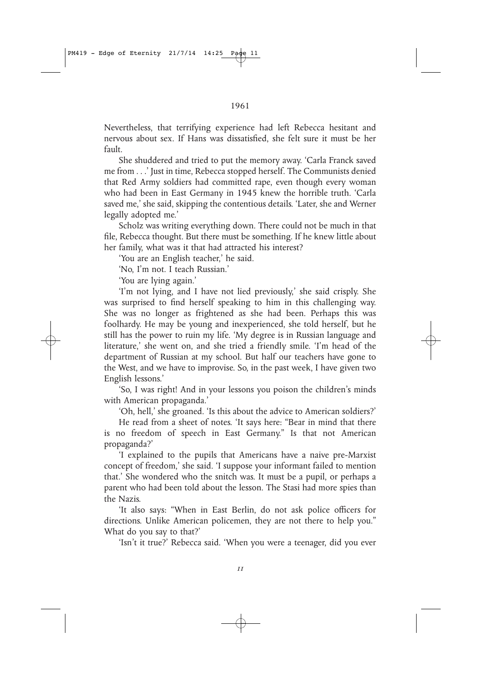Nevertheless, that terrifying experience had left Rebecca hesitant and nervous about sex. If Hans was dissatisfied, she felt sure it must be her fault.

She shuddered and tried to put the memory away. 'Carla Franck saved me from . . .' Just in time, Rebecca stopped herself. The Communists denied that Red Army soldiers had committed rape, even though every woman who had been in East Germany in 1945 knew the horrible truth. 'Carla saved me,' she said, skipping the contentious details. 'Later, she and Werner legally adopted me.'

Scholz was writing everything down. There could not be much in that file, Rebecca thought. But there must be something. If he knew little about her family, what was it that had attracted his interest?

'You are an English teacher,' he said.

'No, I'm not. I teach Russian.'

'You are lying again.'

'I'm not lying, and I have not lied previously,' she said crisply. She was surprised to find herself speaking to him in this challenging way. She was no longer as frightened as she had been. Perhaps this was foolhardy. He may be young and inexperienced, she told herself, but he still has the power to ruin my life. 'My degree is in Russian language and literature,' she went on, and she tried a friendly smile. 'I'm head of the department of Russian at my school. But half our teachers have gone to the West, and we have to improvise. So, in the past week, I have given two English lessons.'

'So, I was right! And in your lessons you poison the children's minds with American propaganda.'

'Oh, hell,' she groaned. 'Is this about the advice to American soldiers?'

He read from a sheet of notes. 'It says here: "Bear in mind that there is no freedom of speech in East Germany." Is that not American propaganda?'

'I explained to the pupils that Americans have a naive pre-Marxist concept of freedom,' she said. 'I suppose your informant failed to mention that.' She wondered who the snitch was. It must be a pupil, or perhaps a parent who had been told about the lesson. The Stasi had more spies than the Nazis.

'It also says: "When in East Berlin, do not ask police officers for directions. Unlike American policemen, they are not there to help you." What do you say to that?'

'Isn't it true?' Rebecca said. 'When you were a teenager, did you ever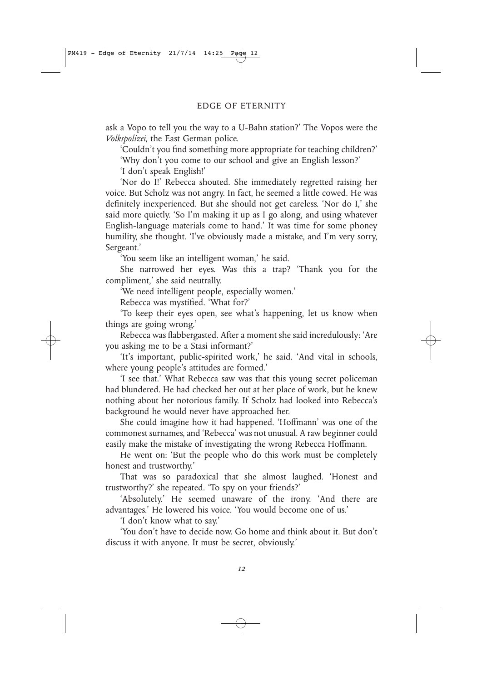ask a Vopo to tell you the way to a U-Bahn station?' The Vopos were the *Volkspolizei*, the East German police.

'Couldn't you find something more appropriate for teaching children?'

'Why don't you come to our school and give an English lesson?'

'I don't speak English!'

'Nor do I!' Rebecca shouted. She immediately regretted raising her voice. But Scholz was not angry. In fact, he seemed a little cowed. He was definitely inexperienced. But she should not get careless. 'Nor do I,' she said more quietly. 'So I'm making it up as I go along, and using whatever English-language materials come to hand.' It was time for some phoney humility, she thought. 'I've obviously made a mistake, and I'm very sorry, Sergeant.'

'You seem like an intelligent woman,' he said.

She narrowed her eyes. Was this a trap? 'Thank you for the compliment,' she said neutrally.

'We need intelligent people, especially women.'

Rebecca was mystified. 'What for?'

'To keep their eyes open, see what's happening, let us know when things are going wrong.'

Rebecca was flabbergasted. After a moment she said incredulously: 'Are you asking me to be a Stasi informant?'

'It's important, public-spirited work,' he said. 'And vital in schools, where young people's attitudes are formed.'

'I see that.' What Rebecca saw was that this young secret policeman had blundered. He had checked her out at her place of work, but he knew nothing about her notorious family. If Scholz had looked into Rebecca's background he would never have approached her.

She could imagine how it had happened. 'Hofmann' was one of the commonest surnames, and 'Rebecca' was not unusual. A raw beginner could easily make the mistake of investigating the wrong Rebecca Hofmann.

He went on: 'But the people who do this work must be completely honest and trustworthy.'

That was so paradoxical that she almost laughed. 'Honest and trustworthy?' she repeated. 'To spy on your friends?'

'Absolutely.' He seemed unaware of the irony. 'And there are advantages.' He lowered his voice. 'You would become one of us.'

'I don't know what to say.'

'You don't have to decide now. Go home and think about it. But don't discuss it with anyone. It must be secret, obviously.'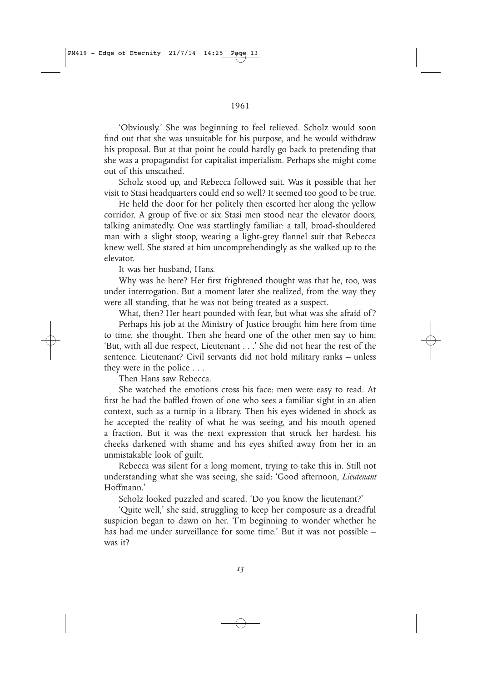'Obviously.' She was beginning to feel relieved. Scholz would soon find out that she was unsuitable for his purpose, and he would withdraw his proposal. But at that point he could hardly go back to pretending that she was a propagandist for capitalist imperialism. Perhaps she might come out of this unscathed.

Scholz stood up, and Rebecca followed suit. Was it possible that her visit to Stasi headquarters could end so well? It seemed too good to be true.

He held the door for her politely then escorted her along the yellow corridor. A group of five or six Stasi men stood near the elevator doors, talking animatedly. One was startlingly familiar: a tall, broad-shouldered man with a slight stoop, wearing a light-grey flannel suit that Rebecca knew well. She stared at him uncomprehendingly as she walked up to the elevator.

It was her husband, Hans.

Why was he here? Her first frightened thought was that he, too, was under interrogation. But a moment later she realized, from the way they were all standing, that he was not being treated as a suspect.

What, then? Her heart pounded with fear, but what was she afraid of? Perhaps his job at the Ministry of Justice brought him here from time to time, she thought. Then she heard one of the other men say to him: 'But, with all due respect, Lieutenant . . .' She did not hear the rest of the sentence. Lieutenant? Civil servants did not hold military ranks – unless they were in the police . . .

Then Hans saw Rebecca.

She watched the emotions cross his face: men were easy to read. At first he had the baffled frown of one who sees a familiar sight in an alien context, such as a turnip in a library. Then his eyes widened in shock as he accepted the reality of what he was seeing, and his mouth opened a fraction. But it was the next expression that struck her hardest: his cheeks darkened with shame and his eyes shifted away from her in an unmistakable look of guilt.

Rebecca was silent for a long moment, trying to take this in. Still not understanding what she was seeing, she said: 'Good afternoon, *Lieutenant* Hoffmann'

Scholz looked puzzled and scared. 'Do you know the lieutenant?'

'Quite well,' she said, struggling to keep her composure as a dreadful suspicion began to dawn on her. 'I'm beginning to wonder whether he has had me under surveillance for some time.' But it was not possible – was it?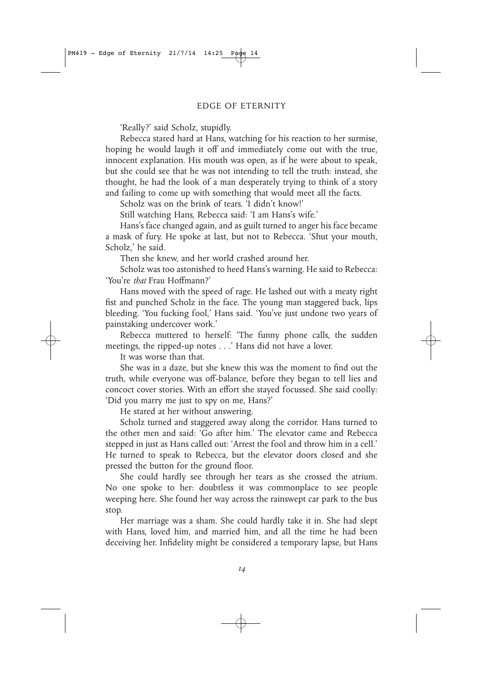'Really?' said Scholz, stupidly.

Rebecca stared hard at Hans, watching for his reaction to her surmise, hoping he would laugh it off and immediately come out with the true, innocent explanation. His mouth was open, as if he were about to speak, but she could see that he was not intending to tell the truth: instead, she thought, he had the look of a man desperately trying to think of a story and failing to come up with something that would meet all the facts.

Scholz was on the brink of tears. 'I didn't know!'

Still watching Hans, Rebecca said: 'I am Hans's wife.'

Hans's face changed again, and as guilt turned to anger his face became a mask of fury. He spoke at last, but not to Rebecca. 'Shut your mouth, Scholz,' he said.

Then she knew, and her world crashed around her.

Scholz was too astonished to heed Hans's warning. He said to Rebecca: 'You're *that* Frau Hofmann?'

Hans moved with the speed of rage. He lashed out with a meaty right fist and punched Scholz in the face. The young man staggered back, lips bleeding. 'You fucking fool,' Hans said. 'You've just undone two years of painstaking undercover work.'

Rebecca muttered to herself: 'The funny phone calls, the sudden meetings, the ripped-up notes . . .' Hans did not have a lover.

It was worse than that.

She was in a daze, but she knew this was the moment to find out the truth, while everyone was of-balance, before they began to tell lies and concoct cover stories. With an effort she stayed focussed. She said coolly: 'Did you marry me just to spy on me, Hans?'

He stared at her without answering.

Scholz turned and staggered away along the corridor. Hans turned to the other men and said: 'Go after him.' The elevator came and Rebecca stepped in just as Hans called out: 'Arrest the fool and throw him in a cell.' He turned to speak to Rebecca, but the elevator doors closed and she pressed the button for the ground floor.

She could hardly see through her tears as she crossed the atrium. No one spoke to her: doubtless it was commonplace to see people weeping here. She found her way across the rainswept car park to the bus stop.

Her marriage was a sham. She could hardly take it in. She had slept with Hans, loved him, and married him, and all the time he had been deceiving her. Infidelity might be considered a temporary lapse, but Hans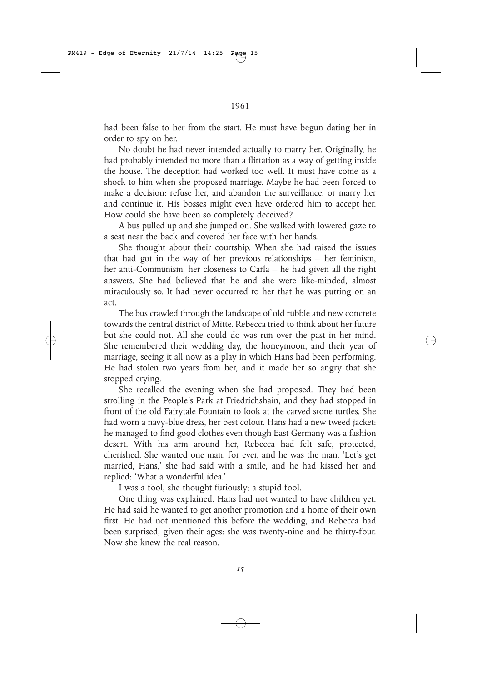had been false to her from the start. He must have begun dating her in order to spy on her.

No doubt he had never intended actually to marry her. Originally, he had probably intended no more than a flirtation as a way of getting inside the house. The deception had worked too well. It must have come as a shock to him when she proposed marriage. Maybe he had been forced to make a decision: refuse her, and abandon the surveillance, or marry her and continue it. His bosses might even have ordered him to accept her. How could she have been so completely deceived?

A bus pulled up and she jumped on. She walked with lowered gaze to a seat near the back and covered her face with her hands.

She thought about their courtship. When she had raised the issues that had got in the way of her previous relationships – her feminism, her anti-Communism, her closeness to Carla – he had given all the right answers. She had believed that he and she were like-minded, almost miraculously so. It had never occurred to her that he was putting on an act.

The bus crawled through the landscape of old rubble and new concrete towards the central district of Mitte. Rebecca tried to think about her future but she could not. All she could do was run over the past in her mind. She remembered their wedding day, the honeymoon, and their year of marriage, seeing it all now as a play in which Hans had been performing. He had stolen two years from her, and it made her so angry that she stopped crying.

She recalled the evening when she had proposed. They had been strolling in the People's Park at Friedrichshain, and they had stopped in front of the old Fairytale Fountain to look at the carved stone turtles. She had worn a navy-blue dress, her best colour. Hans had a new tweed jacket: he managed to find good clothes even though East Germany was a fashion desert. With his arm around her, Rebecca had felt safe, protected, cherished. She wanted one man, for ever, and he was the man. 'Let's get married, Hans,' she had said with a smile, and he had kissed her and replied: 'What a wonderful idea.'

I was a fool, she thought furiously; a stupid fool.

One thing was explained. Hans had not wanted to have children yet. He had said he wanted to get another promotion and a home of their own first. He had not mentioned this before the wedding, and Rebecca had been surprised, given their ages: she was twenty-nine and he thirty-four. Now she knew the real reason.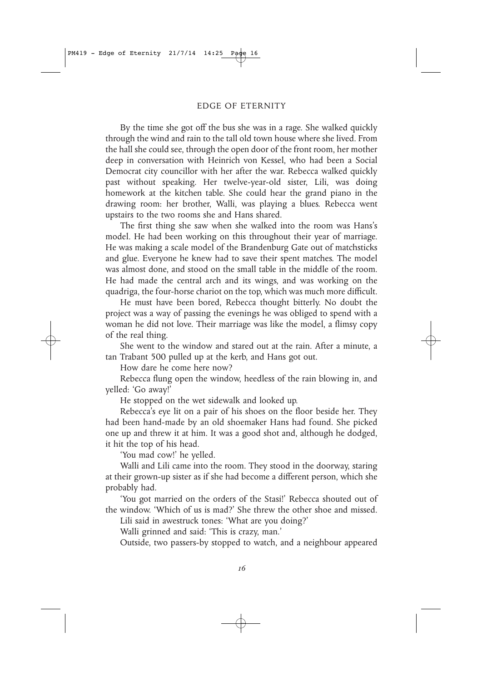By the time she got off the bus she was in a rage. She walked quickly through the wind and rain to the tall old town house where she lived. From the hall she could see, through the open door of the front room, her mother deep in conversation with Heinrich von Kessel, who had been a Social Democrat city councillor with her after the war. Rebecca walked quickly past without speaking. Her twelve-year-old sister, Lili, was doing homework at the kitchen table. She could hear the grand piano in the drawing room: her brother, Walli, was playing a blues. Rebecca went upstairs to the two rooms she and Hans shared.

The first thing she saw when she walked into the room was Hans's model. He had been working on this throughout their year of marriage. He was making a scale model of the Brandenburg Gate out of matchsticks and glue. Everyone he knew had to save their spent matches. The model was almost done, and stood on the small table in the middle of the room. He had made the central arch and its wings, and was working on the quadriga, the four-horse chariot on the top, which was much more difficult.

He must have been bored, Rebecca thought bitterly. No doubt the project was a way of passing the evenings he was obliged to spend with a woman he did not love. Their marriage was like the model, a flimsy copy of the real thing.

She went to the window and stared out at the rain. After a minute, a tan Trabant 500 pulled up at the kerb, and Hans got out.

How dare he come here now?

Rebecca flung open the window, heedless of the rain blowing in, and yelled: 'Go away!'

He stopped on the wet sidewalk and looked up.

Rebecca's eye lit on a pair of his shoes on the floor beside her. They had been hand-made by an old shoemaker Hans had found. She picked one up and threw it at him. It was a good shot and, although he dodged, it hit the top of his head.

'You mad cow!' he yelled.

Walli and Lili came into the room. They stood in the doorway, staring at their grown-up sister as if she had become a diferent person, which she probably had.

'You got married on the orders of the Stasi!' Rebecca shouted out of the window. 'Which of us is mad?' She threw the other shoe and missed.

Lili said in awestruck tones: 'What are you doing?'

Walli grinned and said: 'This is crazy, man.'

Outside, two passers-by stopped to watch, and a neighbour appeared